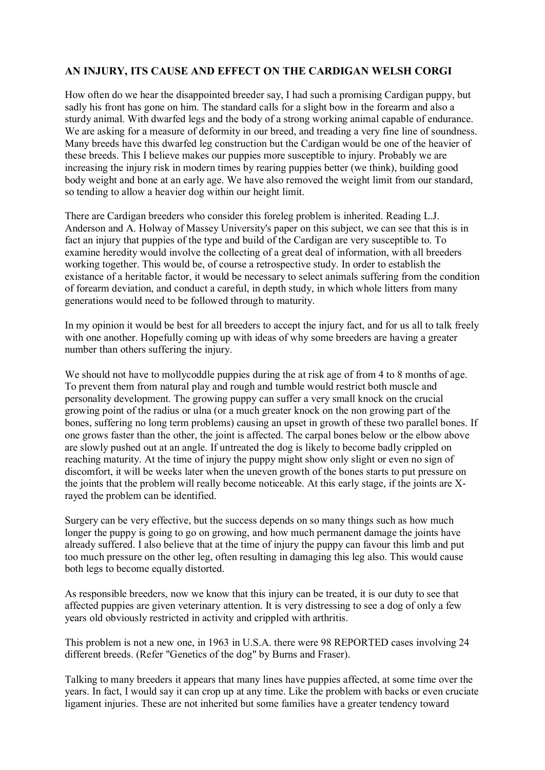## **AN INJURY, ITS CAUSE AND EFFECT ON THE CARDIGAN WELSH CORGI**

How often do we hear the disappointed breeder say, I had such a promising Cardigan puppy, but sadly his front has gone on him. The standard calls for a slight bow in the forearm and also a sturdy animal. With dwarfed legs and the body of a strong working animal capable of endurance. We are asking for a measure of deformity in our breed, and treading a very fine line of soundness. Many breeds have this dwarfed leg construction but the Cardigan would be one of the heavier of these breeds. This I believe makes our puppies more susceptible to injury. Probably we are increasing the injury risk in modern times by rearing puppies better (we think), building good body weight and bone at an early age. We have also removed the weight limit from our standard, so tending to allow a heavier dog within our height limit.

There are Cardigan breeders who consider this foreleg problem is inherited. Reading L.J. Anderson and A. Holway of Massey University's paper on this subject, we can see that this is in fact an injury that puppies of the type and build of the Cardigan are very susceptible to. To examine heredity would involve the collecting of a great deal of information, with all breeders working together. This would be, of course a retrospective study. In order to establish the existance of a heritable factor, it would be necessary to select animals suffering from the condition of forearm deviation, and conduct a careful, in depth study, in which whole litters from many generations would need to be followed through to maturity.

In my opinion it would be best for all breeders to accept the injury fact, and for us all to talk freely with one another. Hopefully coming up with ideas of why some breeders are having a greater number than others suffering the injury.

We should not have to mollycoddle puppies during the at risk age of from 4 to 8 months of age. To prevent them from natural play and rough and tumble would restrict both muscle and personality development. The growing puppy can suffer a very small knock on the crucial growing point of the radius or ulna (or a much greater knock on the non growing part of the bones, suffering no long term problems) causing an upset in growth of these two parallel bones. If one grows faster than the other, the joint is affected. The carpal bones below or the elbow above are slowly pushed out at an angle. If untreated the dog is likely to become badly crippled on reaching maturity. At the time of injury the puppy might show only slight or even no sign of discomfort, it will be weeks later when the uneven growth of the bones starts to put pressure on the joints that the problem will really become noticeable. At this early stage, if the joints are Xrayed the problem can be identified.

Surgery can be very effective, but the success depends on so many things such as how much longer the puppy is going to go on growing, and how much permanent damage the joints have already suffered. I also believe that at the time of injury the puppy can favour this limb and put too much pressure on the other leg, often resulting in damaging this leg also. This would cause both legs to become equally distorted.

As responsible breeders, now we know that this injury can be treated, it is our duty to see that affected puppies are given veterinary attention. It is very distressing to see a dog of only a few years old obviously restricted in activity and crippled with arthritis.

This problem is not a new one, in 1963 in U.S.A. there were 98 REPORTED cases involving 24 different breeds. (Refer "Genetics of the dog" by Burns and Fraser).

Talking to many breeders it appears that many lines have puppies affected, at some time over the years. In fact, I would say it can crop up at any time. Like the problem with backs or even cruciate ligament injuries. These are not inherited but some families have a greater tendency toward